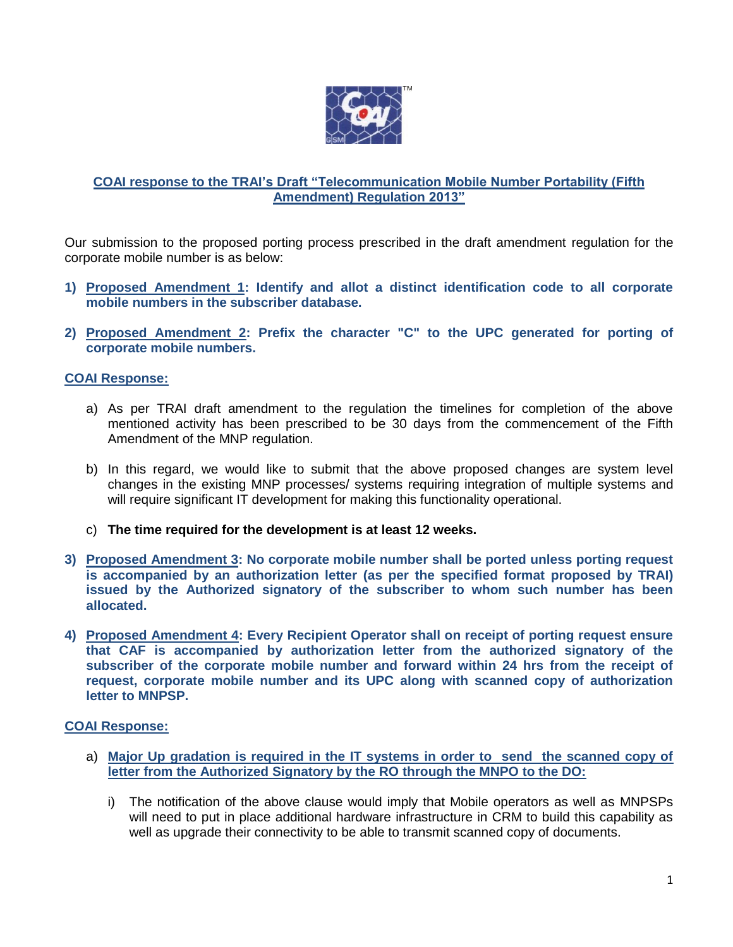

# **COAI response to the TRAI's Draft "Telecommunication Mobile Number Portability (Fifth Amendment) Regulation 2013"**

Our submission to the proposed porting process prescribed in the draft amendment regulation for the corporate mobile number is as below:

- **1) Proposed Amendment 1: Identify and allot a distinct identification code to all corporate mobile numbers in the subscriber database.**
- **2) Proposed Amendment 2: Prefix the character "C" to the UPC generated for porting of corporate mobile numbers.**

## **COAI Response:**

- a) As per TRAI draft amendment to the regulation the timelines for completion of the above mentioned activity has been prescribed to be 30 days from the commencement of the Fifth Amendment of the MNP regulation.
- b) In this regard, we would like to submit that the above proposed changes are system level changes in the existing MNP processes/ systems requiring integration of multiple systems and will require significant IT development for making this functionality operational.
- c) **The time required for the development is at least 12 weeks.**
- **3) Proposed Amendment 3: No corporate mobile number shall be ported unless porting request is accompanied by an authorization letter (as per the specified format proposed by TRAI) issued by the Authorized signatory of the subscriber to whom such number has been allocated.**
- **4) Proposed Amendment 4: Every Recipient Operator shall on receipt of porting request ensure that CAF is accompanied by authorization letter from the authorized signatory of the subscriber of the corporate mobile number and forward within 24 hrs from the receipt of request, corporate mobile number and its UPC along with scanned copy of authorization letter to MNPSP.**

## **COAI Response:**

- a) **Major Up gradation is required in the IT systems in order to send the scanned copy of letter from the Authorized Signatory by the RO through the MNPO to the DO:**
	- i) The notification of the above clause would imply that Mobile operators as well as MNPSPs will need to put in place additional hardware infrastructure in CRM to build this capability as well as upgrade their connectivity to be able to transmit scanned copy of documents.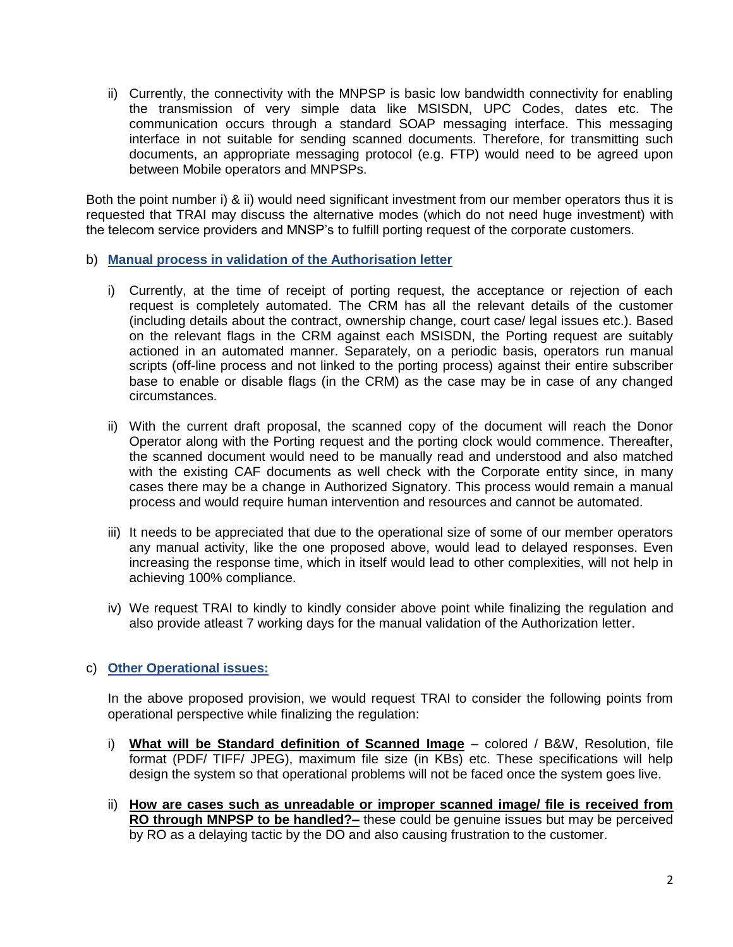ii) Currently, the connectivity with the MNPSP is basic low bandwidth connectivity for enabling the transmission of very simple data like MSISDN, UPC Codes, dates etc. The communication occurs through a standard SOAP messaging interface. This messaging interface in not suitable for sending scanned documents. Therefore, for transmitting such documents, an appropriate messaging protocol (e.g. FTP) would need to be agreed upon between Mobile operators and MNPSPs.

Both the point number i) & ii) would need significant investment from our member operators thus it is requested that TRAI may discuss the alternative modes (which do not need huge investment) with the telecom service providers and MNSP's to fulfill porting request of the corporate customers.

- b) **Manual process in validation of the Authorisation letter**
	- i) Currently, at the time of receipt of porting request, the acceptance or rejection of each request is completely automated. The CRM has all the relevant details of the customer (including details about the contract, ownership change, court case/ legal issues etc.). Based on the relevant flags in the CRM against each MSISDN, the Porting request are suitably actioned in an automated manner. Separately, on a periodic basis, operators run manual scripts (off-line process and not linked to the porting process) against their entire subscriber base to enable or disable flags (in the CRM) as the case may be in case of any changed circumstances.
	- ii) With the current draft proposal, the scanned copy of the document will reach the Donor Operator along with the Porting request and the porting clock would commence. Thereafter, the scanned document would need to be manually read and understood and also matched with the existing CAF documents as well check with the Corporate entity since, in many cases there may be a change in Authorized Signatory. This process would remain a manual process and would require human intervention and resources and cannot be automated.
	- iii) It needs to be appreciated that due to the operational size of some of our member operators any manual activity, like the one proposed above, would lead to delayed responses. Even increasing the response time, which in itself would lead to other complexities, will not help in achieving 100% compliance.
	- iv) We request TRAI to kindly to kindly consider above point while finalizing the regulation and also provide atleast 7 working days for the manual validation of the Authorization letter.

## c) **Other Operational issues:**

In the above proposed provision, we would request TRAI to consider the following points from operational perspective while finalizing the regulation:

- i) **What will be Standard definition of Scanned Image** colored / B&W, Resolution, file format (PDF/ TIFF/ JPEG), maximum file size (in KBs) etc. These specifications will help design the system so that operational problems will not be faced once the system goes live.
- ii) **How are cases such as unreadable or improper scanned image/ file is received from RO through MNPSP to be handled?–** these could be genuine issues but may be perceived by RO as a delaying tactic by the DO and also causing frustration to the customer.